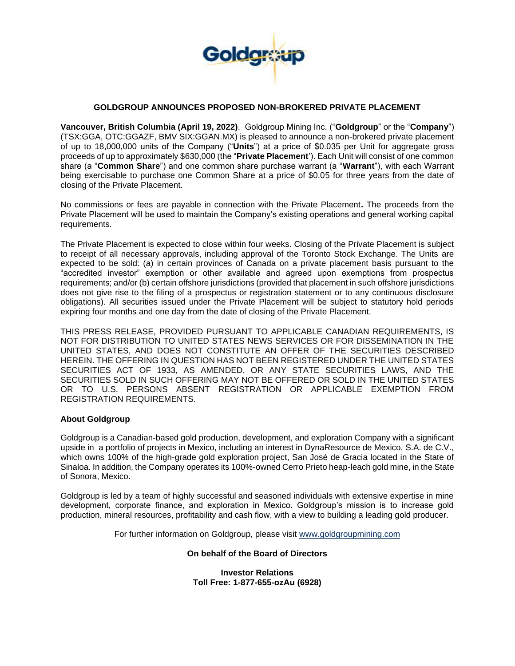

## **GOLDGROUP ANNOUNCES PROPOSED NON-BROKERED PRIVATE PLACEMENT**

**Vancouver, British Columbia (April 19, 2022)**. Goldgroup Mining Inc. ("**Goldgroup**" or the "**Company**") (TSX:GGA, OTC:GGAZF, BMV SIX:GGAN.MX) is pleased to announce a non-brokered private placement of up to 18,000,000 units of the Company ("**Units**") at a price of \$0.035 per Unit for aggregate gross proceeds of up to approximately \$630,000 (the "**Private Placement**'). Each Unit will consist of one common share (a "**Common Share**") and one common share purchase warrant (a "**Warrant**"), with each Warrant being exercisable to purchase one Common Share at a price of \$0.05 for three years from the date of closing of the Private Placement.

No commissions or fees are payable in connection with the Private Placement**.** The proceeds from the Private Placement will be used to maintain the Company's existing operations and general working capital requirements.

The Private Placement is expected to close within four weeks. Closing of the Private Placement is subject to receipt of all necessary approvals, including approval of the Toronto Stock Exchange. The Units are expected to be sold: (a) in certain provinces of Canada on a private placement basis pursuant to the "accredited investor" exemption or other available and agreed upon exemptions from prospectus requirements; and/or (b) certain offshore jurisdictions (provided that placement in such offshore jurisdictions does not give rise to the filing of a prospectus or registration statement or to any continuous disclosure obligations). All securities issued under the Private Placement will be subject to statutory hold periods expiring four months and one day from the date of closing of the Private Placement.

THIS PRESS RELEASE, PROVIDED PURSUANT TO APPLICABLE CANADIAN REQUIREMENTS, IS NOT FOR DISTRIBUTION TO UNITED STATES NEWS SERVICES OR FOR DISSEMINATION IN THE UNITED STATES, AND DOES NOT CONSTITUTE AN OFFER OF THE SECURITIES DESCRIBED HEREIN. THE OFFERING IN QUESTION HAS NOT BEEN REGISTERED UNDER THE UNITED STATES SECURITIES ACT OF 1933, AS AMENDED, OR ANY STATE SECURITIES LAWS, AND THE SECURITIES SOLD IN SUCH OFFERING MAY NOT BE OFFERED OR SOLD IN THE UNITED STATES OR TO U.S. PERSONS ABSENT REGISTRATION OR APPLICABLE EXEMPTION FROM REGISTRATION REQUIREMENTS.

## **About Goldgroup**

Goldgroup is a Canadian-based gold production, development, and exploration Company with a significant upside in a portfolio of projects in Mexico, including an interest in DynaResource de Mexico, S.A. de C.V., which owns 100% of the high-grade gold exploration project, San José de Gracia located in the State of Sinaloa. In addition, the Company operates its 100%-owned Cerro Prieto heap-leach gold mine, in the State of Sonora, Mexico.

Goldgroup is led by a team of highly successful and seasoned individuals with extensive expertise in mine development, corporate finance, and exploration in Mexico. Goldgroup's mission is to increase gold production, mineral resources, profitability and cash flow, with a view to building a leading gold producer.

For further information on Goldgroup, please visit [www.goldgroupmining.com](http://www.goldgroupmining.com/)

## **On behalf of the Board of Directors**

**Investor Relations Toll Free: 1-877-655-ozAu (6928)**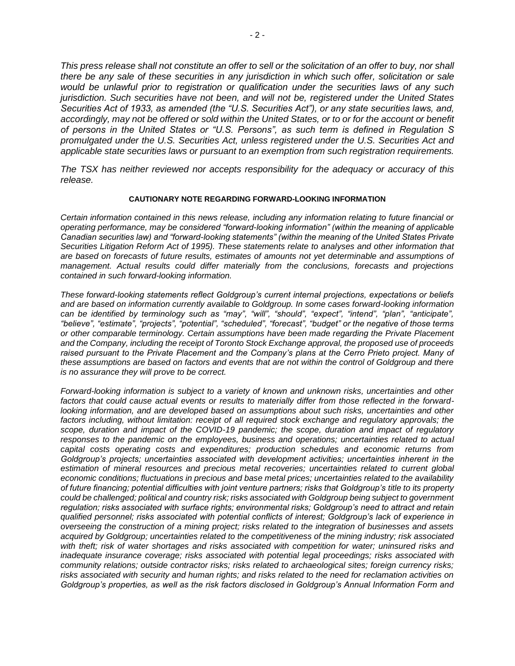*This press release shall not constitute an offer to sell or the solicitation of an offer to buy, nor shall there be any sale of these securities in any jurisdiction in which such offer, solicitation or sale would be unlawful prior to registration or qualification under the securities laws of any such jurisdiction. Such securities have not been, and will not be, registered under the United States Securities Act of 1933, as amended (the "U.S. Securities Act"), or any state securities laws, and, accordingly, may not be offered or sold within the United States, or to or for the account or benefit of persons in the United States or "U.S. Persons", as such term is defined in Regulation S promulgated under the U.S. Securities Act, unless registered under the U.S. Securities Act and applicable state securities laws or pursuant to an exemption from such registration requirements.*

*The TSX has neither reviewed nor accepts responsibility for the adequacy or accuracy of this release.*

## **CAUTIONARY NOTE REGARDING FORWARD-LOOKING INFORMATION**

*Certain information contained in this news release, including any information relating to future financial or operating performance, may be considered "forward-looking information" (within the meaning of applicable Canadian securities law) and "forward-looking statements" (within the meaning of the United States Private Securities Litigation Reform Act of 1995). These statements relate to analyses and other information that are based on forecasts of future results, estimates of amounts not yet determinable and assumptions of management. Actual results could differ materially from the conclusions, forecasts and projections contained in such forward-looking information.* 

*These forward-looking statements reflect Goldgroup's current internal projections, expectations or beliefs and are based on information currently available to Goldgroup. In some cases forward-looking information can be identified by terminology such as "may", "will", "should", "expect", "intend", "plan", "anticipate", "believe", "estimate", "projects", "potential", "scheduled", "forecast", "budget" or the negative of those terms or other comparable terminology. Certain assumptions have been made regarding the Private Placement and the Company, including the receipt of Toronto Stock Exchange approval, the proposed use of proceeds raised pursuant to the Private Placement and the Company's plans at the Cerro Prieto project. Many of these assumptions are based on factors and events that are not within the control of Goldgroup and there is no assurance they will prove to be correct.* 

*Forward-looking information is subject to a variety of known and unknown risks, uncertainties and other factors that could cause actual events or results to materially differ from those reflected in the forwardlooking information, and are developed based on assumptions about such risks, uncertainties and other factors including, without limitation: receipt of all required stock exchange and regulatory approvals; the scope, duration and impact of the COVID-19 pandemic; the scope, duration and impact of regulatory responses to the pandemic on the employees, business and operations; uncertainties related to actual capital costs operating costs and expenditures; production schedules and economic returns from Goldgroup's projects; uncertainties associated with development activities; uncertainties inherent in the estimation of mineral resources and precious metal recoveries; uncertainties related to current global economic conditions; fluctuations in precious and base metal prices; uncertainties related to the availability of future financing; potential difficulties with joint venture partners; risks that Goldgroup's title to its property could be challenged; political and country risk; risks associated with Goldgroup being subject to government regulation; risks associated with surface rights; environmental risks; Goldgroup's need to attract and retain qualified personnel; risks associated with potential conflicts of interest; Goldgroup's lack of experience in overseeing the construction of a mining project; risks related to the integration of businesses and assets acquired by Goldgroup; uncertainties related to the competitiveness of the mining industry; risk associated with theft; risk of water shortages and risks associated with competition for water; uninsured risks and inadequate insurance coverage; risks associated with potential legal proceedings; risks associated with community relations; outside contractor risks; risks related to archaeological sites; foreign currency risks; risks associated with security and human rights; and risks related to the need for reclamation activities on Goldgroup's properties, as well as the risk factors disclosed in Goldgroup's Annual Information Form and*